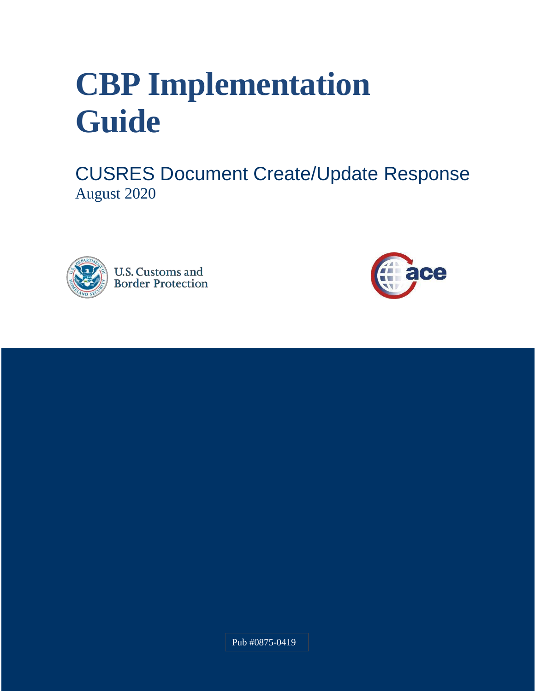# **CBP Implementation Guide**

CUSRES Document Create/Update Response August 2020





Pub #0875-0419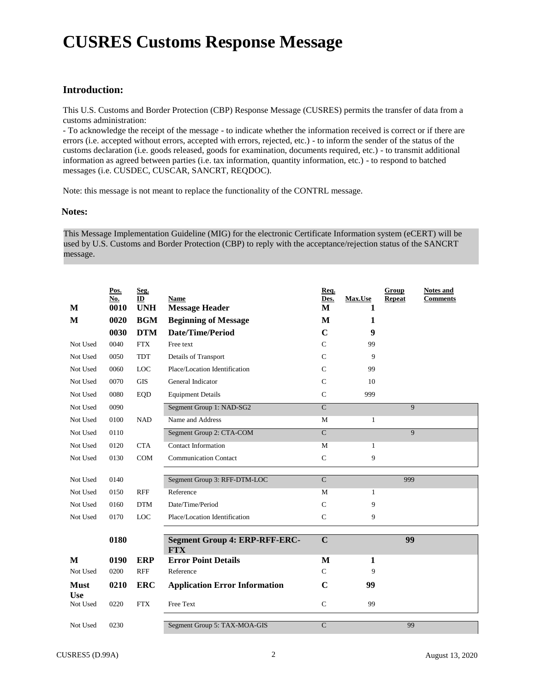# **CUSRES Customs Response Message**

### **Introduction:**

This U.S. Customs and Border Protection (CBP) Response Message (CUSRES) permits the transfer of data from a customs administration:

- To acknowledge the receipt of the message - to indicate whether the information received is correct or if there are errors (i.e. accepted without errors, accepted with errors, rejected, etc.) - to inform the sender of the status of the customs declaration (i.e. goods released, goods for examination, documents required, etc.) - to transmit additional information as agreed between parties (i.e. tax information, quantity information, etc.) - to respond to batched messages (i.e. CUSDEC, CUSCAR, SANCRT, REQDOC).

Note: this message is not meant to replace the functionality of the CONTRL message.

#### **Notes:**

This Message Implementation Guideline (MIG) for the electronic Certificate Information system (eCERT) will be used by U.S. Customs and Border Protection (CBP) to reply with the acceptance/rejection status of the SANCRT message.

| M                         | Pos.<br>No.<br>0010 | Seg.<br>ID<br><b>UNH</b> | Name<br><b>Message Header</b>                      | Req.<br>Des.<br>M | Max.Use<br>1 | Group<br><b>Repeat</b> | <b>Notes and</b><br><b>Comments</b> |
|---------------------------|---------------------|--------------------------|----------------------------------------------------|-------------------|--------------|------------------------|-------------------------------------|
| M                         | 0020                | <b>BGM</b>               | <b>Beginning of Message</b>                        | M                 | 1            |                        |                                     |
|                           | 0030                | <b>DTM</b>               | Date/Time/Period                                   | $\mathbf C$       | 9            |                        |                                     |
| Not Used                  | 0040                | <b>FTX</b>               | Free text                                          | $\mathsf{C}$      | 99           |                        |                                     |
| Not Used                  | 0050                | <b>TDT</b>               | Details of Transport                               | $\mathsf{C}$      | 9            |                        |                                     |
| Not Used                  | 0060                | <b>LOC</b>               | Place/Location Identification                      | $\mathsf{C}$      | 99           |                        |                                     |
| Not Used                  | 0070                | <b>GIS</b>               | General Indicator                                  | $\mathsf{C}$      | 10           |                        |                                     |
| Not Used                  | 0080                | <b>EQD</b>               | <b>Equipment Details</b>                           | $\mathsf{C}$      | 999          |                        |                                     |
| Not Used                  | 0090                |                          | Segment Group 1: NAD-SG2                           | $\mathsf{C}$      |              | 9                      |                                     |
| Not Used                  | 0100                | <b>NAD</b>               | Name and Address                                   | M                 | 1            |                        |                                     |
| Not Used                  | 0110                |                          | Segment Group 2: CTA-COM                           | $\overline{C}$    |              | $\overline{9}$         |                                     |
| Not Used                  | 0120                | <b>CTA</b>               | <b>Contact Information</b>                         | M                 | 1            |                        |                                     |
| Not Used                  | 0130                | <b>COM</b>               | <b>Communication Contact</b>                       | $\mathsf{C}$      | 9            |                        |                                     |
|                           |                     |                          |                                                    |                   |              |                        |                                     |
| Not Used                  | 0140                |                          | Segment Group 3: RFF-DTM-LOC                       | $\overline{C}$    |              | 999                    |                                     |
| Not Used                  | 0150                | <b>RFF</b>               | Reference                                          | M                 | $\mathbf{1}$ |                        |                                     |
| Not Used                  | 0160                | <b>DTM</b>               | Date/Time/Period                                   | $\mathcal{C}$     | 9            |                        |                                     |
| Not Used                  | 0170                | <b>LOC</b>               | Place/Location Identification                      | $\mathsf{C}$      | 9            |                        |                                     |
|                           |                     |                          |                                                    |                   |              |                        |                                     |
|                           | 0180                |                          | <b>Segment Group 4: ERP-RFF-ERC-</b><br><b>FTX</b> | $\overline{C}$    |              | 99                     |                                     |
| M                         | 0190                | <b>ERP</b>               | <b>Error Point Details</b>                         | M                 | 1            |                        |                                     |
| Not Used                  | 0200                | <b>RFF</b>               | Reference                                          | $\mathsf{C}$      | 9            |                        |                                     |
| <b>Must</b><br><b>Use</b> | 0210                | <b>ERC</b>               | <b>Application Error Information</b>               | $\mathbf C$       | 99           |                        |                                     |
| Not Used                  | 0220                | <b>FTX</b>               | Free Text                                          | $\mathsf{C}$      | 99           |                        |                                     |
| Not Used                  | 0230                |                          | Segment Group 5: TAX-MOA-GIS                       | $\mathbf C$       |              | 99                     |                                     |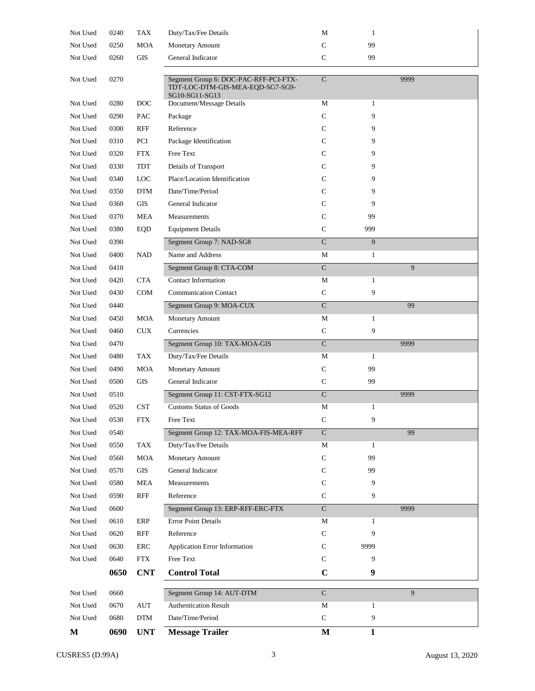| Not Used | 0240 | <b>TAX</b>  | Duty/Tax/Fee Details                                                                        | M                       | $\mathbf{1}$ |      |
|----------|------|-------------|---------------------------------------------------------------------------------------------|-------------------------|--------------|------|
| Not Used | 0250 | MOA         | <b>Monetary Amount</b>                                                                      | C                       | 99           |      |
| Not Used | 0260 | <b>GIS</b>  | General Indicator                                                                           | C                       | 99           |      |
| Not Used | 0270 |             | Segment Group 6: DOC-PAC-RFF-PCI-FTX-<br>TDT-LOC-DTM-GIS-MEA-EQD-SG7-SG9-<br>SG10-SG11-SG13 | $\overline{C}$          |              | 9999 |
| Not Used | 0280 | DOC         | Document/Message Details                                                                    | М                       | 1            |      |
| Not Used | 0290 | PAC         | Package                                                                                     | $\mathsf{C}$            | 9            |      |
| Not Used | 0300 | RFF         | Reference                                                                                   | C                       | 9            |      |
| Not Used | 0310 | PCI         | Package Identification                                                                      | C                       | 9            |      |
| Not Used | 0320 | <b>FTX</b>  | Free Text                                                                                   | C                       | 9            |      |
| Not Used | 0330 | <b>TDT</b>  | Details of Transport                                                                        | C                       | 9            |      |
| Not Used | 0340 | <b>LOC</b>  | Place/Location Identification                                                               | C                       | 9            |      |
| Not Used | 0350 | <b>DTM</b>  | Date/Time/Period                                                                            | C                       | 9            |      |
| Not Used | 0360 | <b>GIS</b>  | General Indicator                                                                           | C                       | 9            |      |
| Not Used | 0370 | MEA         | Measurements                                                                                | C                       | 99           |      |
| Not Used | 0380 | <b>EQD</b>  | <b>Equipment Details</b>                                                                    | $\mathsf{C}$            | 999          |      |
| Not Used | 0390 |             | Segment Group 7: NAD-SG8                                                                    | $\mathbf C$             | 9            |      |
| Not Used | 0400 | NAD         | Name and Address                                                                            | М                       | $\mathbf{1}$ |      |
| Not Used | 0410 |             | Segment Group 8: CTA-COM                                                                    | $\overline{\mathsf{C}}$ |              | 9    |
| Not Used | 0420 | <b>CTA</b>  | <b>Contact Information</b>                                                                  | М                       | $\mathbf{1}$ |      |
| Not Used | 0430 | <b>COM</b>  | <b>Communication Contact</b>                                                                | ${\bf C}$               | 9            |      |
| Not Used | 0440 |             | Segment Group 9: MOA-CUX                                                                    | $\overline{C}$          |              | 99   |
| Not Used | 0450 | MOA         | Monetary Amount                                                                             | M                       | $\mathbf{1}$ |      |
| Not Used | 0460 | <b>CUX</b>  | Currencies                                                                                  | ${\bf C}$               | 9            |      |
| Not Used | 0470 |             | Segment Group 10: TAX-MOA-GIS                                                               | $\overline{C}$          |              | 9999 |
|          | 0480 | <b>TAX</b>  |                                                                                             | $\mathbf M$             |              |      |
| Not Used |      |             | Duty/Tax/Fee Details                                                                        |                         | $\mathbf{1}$ |      |
| Not Used | 0490 | MOA         | Monetary Amount                                                                             | $\mathsf{C}$            | 99           |      |
| Not Used | 0500 | <b>GIS</b>  | General Indicator                                                                           | C                       | 99           |      |
| Not Used | 0510 |             | Segment Group 11: CST-FTX-SG12                                                              | $\overline{\mathsf{C}}$ |              | 9999 |
| Not Used | 0520 | <b>CST</b>  | <b>Customs Status of Goods</b>                                                              | М                       | 1            |      |
| Not Used | 0530 | ${\rm FTX}$ | Free Text                                                                                   | C                       | 9            |      |
| Not Used | 0540 |             | Segment Group 12: TAX-MOA-FIS-MEA-RFF                                                       | $\mathsf{C}$            |              | 99   |
| Not Used | 0550 | <b>TAX</b>  | Duty/Tax/Fee Details                                                                        | М                       | $\mathbf{1}$ |      |
| Not Used | 0560 | <b>MOA</b>  | Monetary Amount                                                                             | $\mathbf C$             | 99           |      |
| Not Used | 0570 | GIS         | General Indicator                                                                           | С                       | 99           |      |
| Not Used | 0580 | <b>MEA</b>  | Measurements                                                                                | C                       | 9            |      |
| Not Used | 0590 | RFF         | Reference                                                                                   | $\mathsf{C}$            | 9            |      |
| Not Used | 0600 |             | Segment Group 13: ERP-RFF-ERC-FTX                                                           | $\overline{C}$          |              | 9999 |
| Not Used | 0610 | ERP         | <b>Error Point Details</b>                                                                  | M                       | 1            |      |
| Not Used | 0620 | <b>RFF</b>  | Reference                                                                                   | C                       | 9            |      |
| Not Used | 0630 | ERC         | Application Error Information                                                               | $\mathsf{C}$            | 9999         |      |
| Not Used | 0640 | <b>FTX</b>  | Free Text                                                                                   | $\mathsf{C}$            | 9            |      |
|          | 0650 | <b>CNT</b>  | <b>Control Total</b>                                                                        | $\mathbf C$             | 9            |      |
| Not Used | 0660 |             | Segment Group 14: AUT-DTM                                                                   | $\overline{C}$          |              | 9    |
| Not Used | 0670 | AUT         | <b>Authentication Result</b>                                                                | М                       | $\mathbf{1}$ |      |
| Not Used | 0680 | <b>DTM</b>  | Date/Time/Period                                                                            | ${\bf C}$               | 9            |      |
| M        | 0690 | <b>UNT</b>  | <b>Message Trailer</b>                                                                      | $\mathbf M$             | $\mathbf{1}$ |      |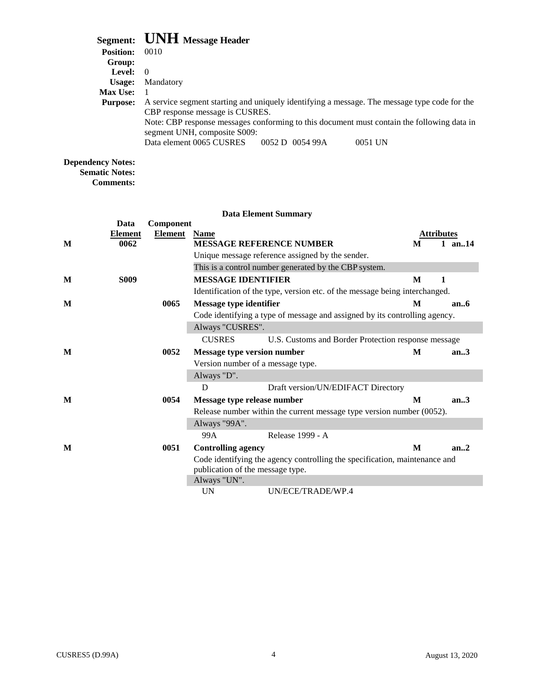|                        | Segment: UNH Message Header                                                                                                     |
|------------------------|---------------------------------------------------------------------------------------------------------------------------------|
| <b>Position:</b>       | 0010                                                                                                                            |
| Group:                 |                                                                                                                                 |
| <b>Level:</b> $\theta$ |                                                                                                                                 |
| Usage:                 | Mandatory                                                                                                                       |
| <b>Max Use:</b>        |                                                                                                                                 |
| <b>Purpose:</b>        | A service segment starting and uniquely identifying a message. The message type code for the<br>CBP response message is CUSRES. |
|                        | Note: CBP response messages conforming to this document must contain the following data in<br>segment UNH, composite S009:      |
|                        | Data element 0065 CUSRES 0052 D 0054 99A<br>0051 UN                                                                             |

#### **Dependency Notes: Sematic Notes:**

**Comments:**

## **Data Element Summary Data Component Element Element Name Attributes**<br>0062 **MESSAGE REFERENCE NUMBER M** 1 and **M 0062 MESSAGE REFERENCE NUMBER M 1 an..14** Unique message reference assigned by the sender. This is a control number generated by the CBP system. **M S009 MESSAGE IDENTIFIER M 1** Identification of the type, version etc. of the message being interchanged. **M 0065 Message type identifier M an..6** Code identifying a type of message and assigned by its controlling agency. Always "CUSRES". CUSRES U.S. Customs and Border Protection response message **M 0052 Message type version number M an..3** Version number of a message type. Always "D". D Draft version/UN/EDIFACT Directory **M 0054 Message type release number M an..3** Release number within the current message type version number (0052). Always "99A". 99A Release 1999 - A **M 0051 Controlling agency M an..2** Code identifying the agency controlling the specification, maintenance and publication of the message type. Always "UN". UN UN/ECE/TRADE/WP.4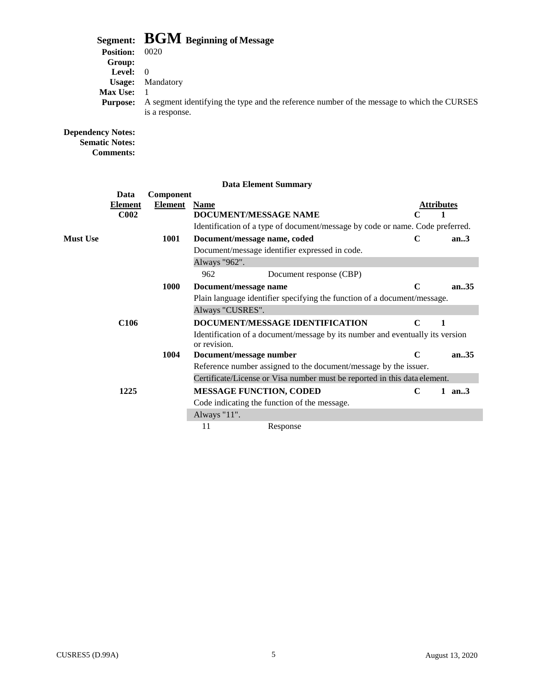# **Segment: BGM Beginning of Message**

| <b>Position:</b>  | 0020                                                                                       |  |
|-------------------|--------------------------------------------------------------------------------------------|--|
| Group:            |                                                                                            |  |
| <b>Level:</b> $0$ |                                                                                            |  |
| Usage:            | Mandatory                                                                                  |  |
| <b>Max Use:</b>   |                                                                                            |  |
| <b>Purpose:</b>   | A segment identifying the type and the reference number of the message to which the CURSES |  |
|                   | is a response.                                                                             |  |
|                   |                                                                                            |  |

#### **Dependency Notes: Sematic Notes:**

**Comments:**

### **Data Element Summary Data Component Element Element Name Attributes C002 DOCUMENT/MESSAGE NAME C 1** Identification of a type of document/message by code or name. Code preferred. **Must Use 1001 Document/message name, coded C an..3** Document/message identifier expressed in code. Always "962". 962 Document response (CBP) **1000 Document/message name C an..35** Plain language identifier specifying the function of a document/message. Always "CUSRES". **C106 DOCUMENT/MESSAGE IDENTIFICATION C 1** Identification of a document/message by its number and eventually its version or revision. **1004 Document/message number C an..35** Reference number assigned to the document/message by the issuer. Certificate/License or Visa number must be reported in this data element. **1225 MESSAGE FUNCTION, CODED C 1 an..3** Code indicating the function of the message. Always "11". 11 Response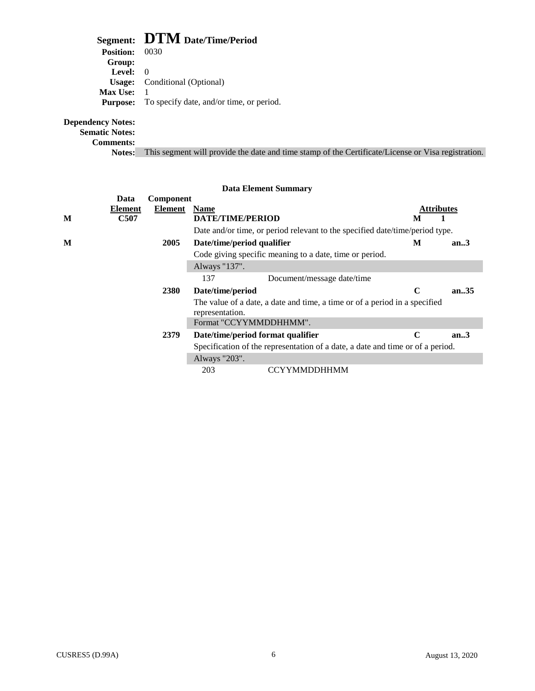# **Segment: DTM Date/Time/Period**

| <b>Position:</b> 0030 |                                                          |
|-----------------------|----------------------------------------------------------|
| Group:                |                                                          |
| <b>Level:</b> $0$     |                                                          |
|                       | <b>Usage:</b> Conditional (Optional)                     |
| <b>Max Use:</b>       |                                                          |
|                       | <b>Purpose:</b> To specify date, and/or time, or period. |
|                       |                                                          |

#### **Dependency Notes:**

**Sematic Notes:**

**Comments:**

**Notes:** This segment will provide the date and time stamp of the Certificate/License or Visa registration.

#### **Data Element Summary Data Component Element Element Name Attributes M C507 DATE/TIME/PERIOD M 1** Date and/or time, or period relevant to the specified date/time/period type. **M 2005 Date/time/period qualifier M an..3** Code giving specific meaning to a date, time or period. Always "137". 137 Document/message date/time **2380 Date/time/period C an..35** The value of a date, a date and time, a time or of a period in a specified representation. Format "CCYYMMDDHHMM". **2379 Date/time/period format qualifier C an..3** Specification of the representation of a date, a date and time or of a period. Always "203". 203 CCYYMMDDHHMM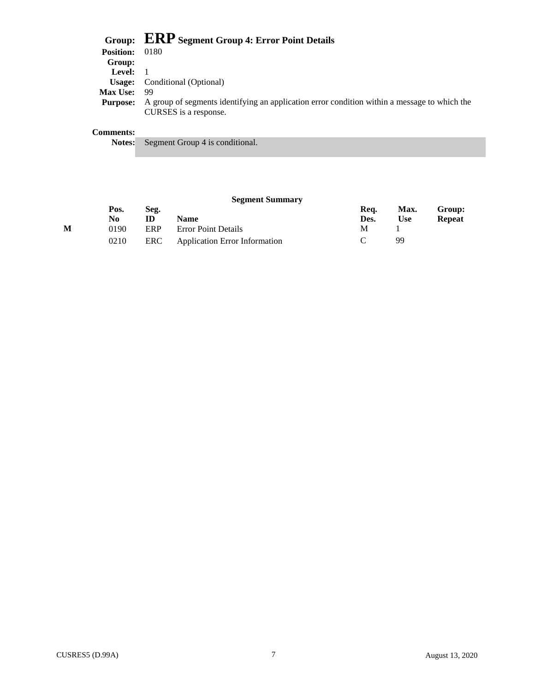|                   | Group: ERP Segment Group 4: Error Point Details                                              |
|-------------------|----------------------------------------------------------------------------------------------|
| <b>Position:</b>  | 0180                                                                                         |
| Group:            |                                                                                              |
| <b>Level:</b> $1$ |                                                                                              |
| Usage:            | Conditional (Optional)                                                                       |
| <b>Max Use:</b>   | - 99                                                                                         |
| <b>Purpose:</b>   | A group of segments identifying an application error condition within a message to which the |
|                   | CURSES is a response.                                                                        |
| <b>Comments:</b>  |                                                                                              |

**Notes:** Segment Group 4 is conditional.

# **Segment Summary**

|   |       |      | $\sim$                               |      |            |        |
|---|-------|------|--------------------------------------|------|------------|--------|
|   | Pos.  | Seg. |                                      | Rea. | Max.       | Group: |
|   | No    | ID   | Name                                 | Des. | <b>Use</b> | Repeat |
| М | 0190. | ERP  | <b>Error Point Details</b>           | M    |            |        |
|   | 0210  | ERC  | <b>Application Error Information</b> |      | 99         |        |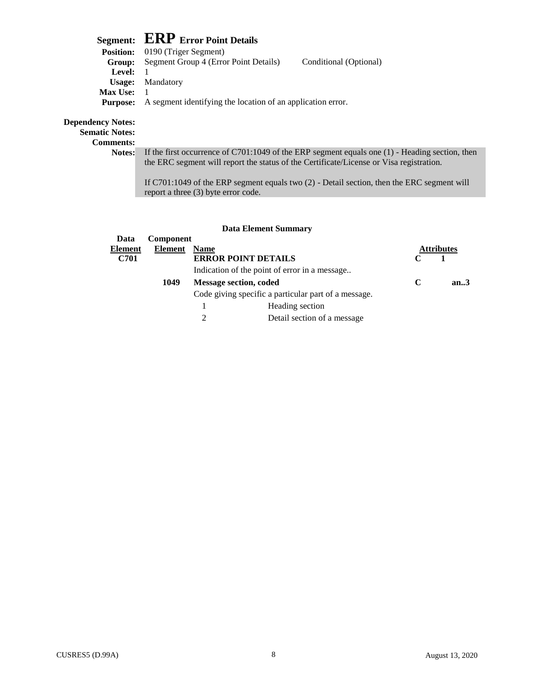# **Segment: ERP Error Point Details**

|                 | <b>Position:</b> 0190 (Triger Segment)                      |                        |
|-----------------|-------------------------------------------------------------|------------------------|
| Group:          | Segment Group 4 (Error Point Details)                       | Conditional (Optional) |
| Level:          |                                                             |                        |
|                 | <b>Usage:</b> Mandatory                                     |                        |
| <b>Max Use:</b> |                                                             |                        |
| <b>Purpose:</b> | A segment identifying the location of an application error. |                        |
|                 |                                                             |                        |
|                 |                                                             |                        |

## **Dependency Notes:**

**Sematic Notes:**

**Comments:**

Notes: If the first occurrence of C701:1049 of the ERP segment equals one (1) - Heading section, then the ERC segment will report the status of the Certificate/License or Visa registration.

If C701:1049 of the ERP segment equals two (2) - Detail section, then the ERC segment will report a three (3) byte error code.

| Data           | <b>Component</b> |               |                                                      |   |                   |
|----------------|------------------|---------------|------------------------------------------------------|---|-------------------|
| <b>Element</b> | Element          | <b>Name</b>   |                                                      |   | <b>Attributes</b> |
| C701           |                  |               | <b>ERROR POINT DETAILS</b>                           |   |                   |
|                |                  |               | Indication of the point of error in a message        |   |                   |
|                | 1049             |               | <b>Message section, coded</b>                        | C | an.3              |
|                |                  |               | Code giving specific a particular part of a message. |   |                   |
|                |                  |               | Heading section                                      |   |                   |
|                |                  | $\mathcal{D}$ | Detail section of a message                          |   |                   |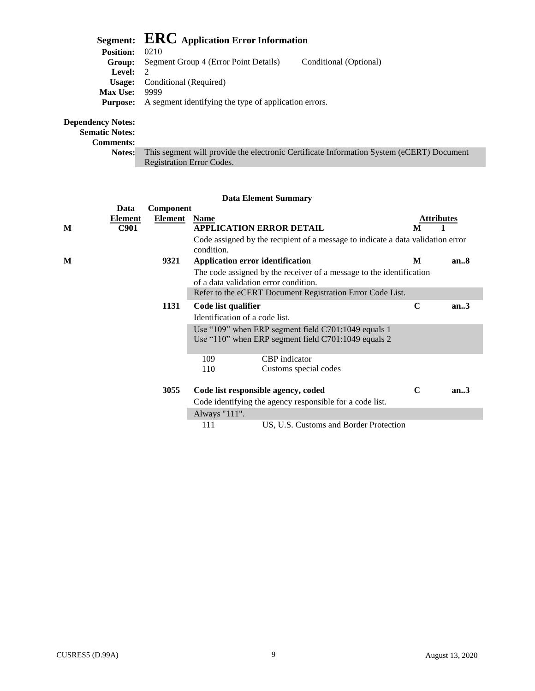|                  | Segment: ERC Application Error Information                      |
|------------------|-----------------------------------------------------------------|
| <b>Position:</b> | 0210                                                            |
| Group:           | Segment Group 4 (Error Point Details)<br>Conditional (Optional) |
| Level: $2$       |                                                                 |
|                  | <b>Usage:</b> Conditional (Required)                            |
| <b>Max Use:</b>  | 9999                                                            |
| <b>Purpose:</b>  | A segment identifying the type of application errors.           |
| Janov Natos:     |                                                                 |

### **Dependency Notes:**

**Sematic Notes:**

**Comments:**

**Notes:** This segment will provide the electronic Certificate Information System (eCERT) Document Registration Error Codes.

|   | Data           | Component |                                                                                                               |             |                   |
|---|----------------|-----------|---------------------------------------------------------------------------------------------------------------|-------------|-------------------|
|   | <b>Element</b> | Element   | <b>Name</b>                                                                                                   |             | <b>Attributes</b> |
| M | <b>C901</b>    |           | <b>APPLICATION ERROR DETAIL</b>                                                                               | M           |                   |
|   |                |           | Code assigned by the recipient of a message to indicate a data validation error<br>condition.                 |             |                   |
| M |                | 9321      | Application error identification                                                                              | M           | an.8              |
|   |                |           | The code assigned by the receiver of a message to the identification<br>of a data validation error condition. |             |                   |
|   |                |           | Refer to the eCERT Document Registration Error Code List.                                                     |             |                   |
|   |                | 1131      | Code list qualifier                                                                                           | $\mathbf C$ | an.3              |
|   |                |           | Identification of a code list.                                                                                |             |                   |
|   |                |           | Use "109" when ERP segment field C701:1049 equals 1                                                           |             |                   |
|   |                |           | Use "110" when ERP segment field C701:1049 equals 2                                                           |             |                   |
|   |                |           | CBP indicator<br>109                                                                                          |             |                   |
|   |                |           | Customs special codes<br>110                                                                                  |             |                   |
|   |                | 3055      | Code list responsible agency, coded                                                                           | $\mathbf C$ | an.3              |
|   |                |           | Code identifying the agency responsible for a code list.                                                      |             |                   |
|   |                |           | Always "111".                                                                                                 |             |                   |
|   |                |           | US, U.S. Customs and Border Protection<br>111                                                                 |             |                   |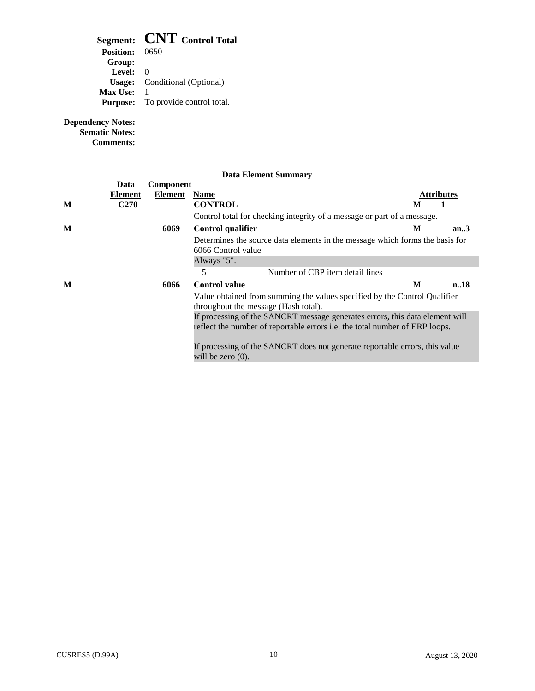# **Segment: CNT Control Total**

|                       | $\sim$                                    |
|-----------------------|-------------------------------------------|
| <b>Position:</b> 0650 |                                           |
| Group:                |                                           |
| Level:                | $\Omega$                                  |
|                       | <b>Usage:</b> Conditional (Optional)      |
| <b>Max Use:</b>       |                                           |
|                       | <b>Purpose:</b> To provide control total. |
|                       |                                           |

**Dependency Notes:**

**Sematic Notes: Comments:**

|   | Data             | Component |                                                                                                                   |                                                                                                                                                                    |      |  |  |  |
|---|------------------|-----------|-------------------------------------------------------------------------------------------------------------------|--------------------------------------------------------------------------------------------------------------------------------------------------------------------|------|--|--|--|
|   | Element          | Element   | <b>Name</b>                                                                                                       | Attributes                                                                                                                                                         |      |  |  |  |
| M | C <sub>270</sub> |           | <b>CONTROL</b>                                                                                                    | M                                                                                                                                                                  |      |  |  |  |
|   |                  |           | Control total for checking integrity of a message or part of a message.                                           |                                                                                                                                                                    |      |  |  |  |
| M |                  | 6069      | Control qualifier                                                                                                 | M                                                                                                                                                                  | an.3 |  |  |  |
|   |                  |           | Determines the source data elements in the message which forms the basis for<br>6066 Control value                |                                                                                                                                                                    |      |  |  |  |
|   |                  |           | Always "5".                                                                                                       |                                                                                                                                                                    |      |  |  |  |
|   |                  |           | 5<br>Number of CBP item detail lines                                                                              |                                                                                                                                                                    |      |  |  |  |
| M |                  | 6066      | <b>Control value</b>                                                                                              | M                                                                                                                                                                  | n.18 |  |  |  |
|   |                  |           | Value obtained from summing the values specified by the Control Qualifier<br>throughout the message (Hash total). |                                                                                                                                                                    |      |  |  |  |
|   |                  |           |                                                                                                                   | If processing of the SANCRT message generates errors, this data element will<br>reflect the number of reportable errors <i>i.e.</i> the total number of ERP loops. |      |  |  |  |
|   |                  |           | If processing of the SANCRT does not generate reportable errors, this value<br>will be zero $(0)$ .               |                                                                                                                                                                    |      |  |  |  |